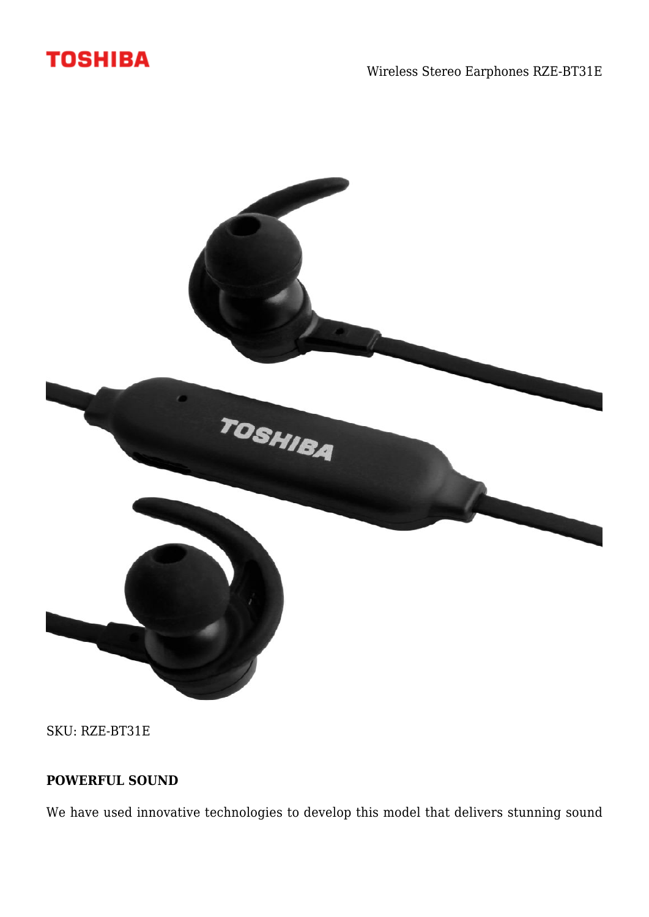



SKU: RZE-BT31E

## **POWERFUL SOUND**

We have used innovative technologies to develop this model that delivers stunning sound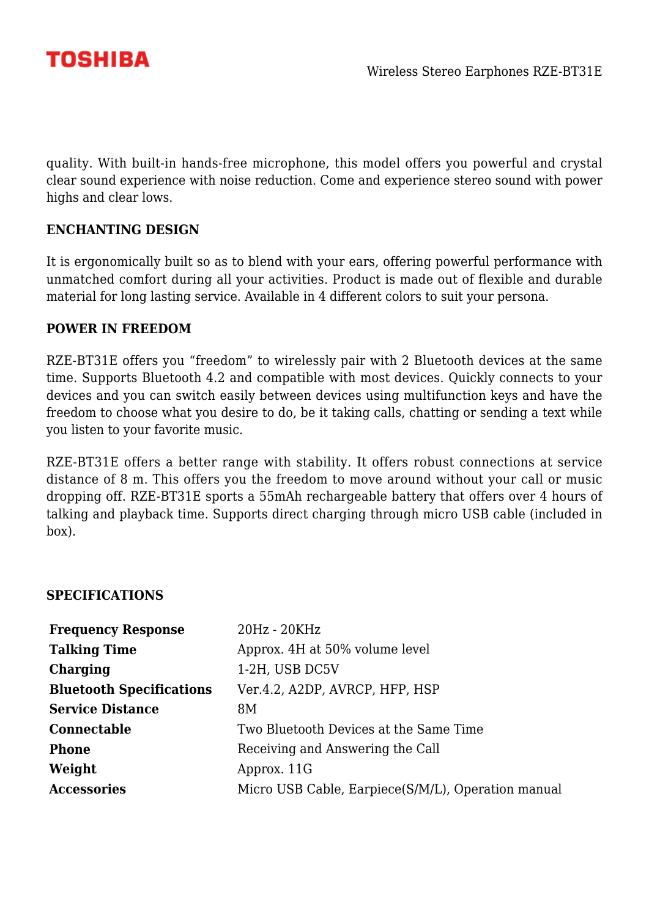

quality. With built-in hands-free microphone, this model offers you powerful and crystal clear sound experience with noise reduction. Come and experience stereo sound with power highs and clear lows.

### **ENCHANTING DESIGN**

It is ergonomically built so as to blend with your ears, offering powerful performance with unmatched comfort during all your activities. Product is made out of flexible and durable material for long lasting service. Available in 4 different colors to suit your persona.

#### **POWER IN FREEDOM**

RZE-BT31E offers you "freedom" to wirelessly pair with 2 Bluetooth devices at the same time. Supports Bluetooth 4.2 and compatible with most devices. Quickly connects to your devices and you can switch easily between devices using multifunction keys and have the freedom to choose what you desire to do, be it taking calls, chatting or sending a text while you listen to your favorite music.

RZE-BT31E offers a better range with stability. It offers robust connections at service distance of 8 m. This offers you the freedom to move around without your call or music dropping off. RZE-BT31E sports a 55mAh rechargeable battery that offers over 4 hours of talking and playback time. Supports direct charging through micro USB cable (included in box).

#### **SPECIFICATIONS**

| <b>Frequency Response</b>       | 20Hz - 20KHz                                       |
|---------------------------------|----------------------------------------------------|
| <b>Talking Time</b>             | Approx. 4H at 50% volume level                     |
| Charging                        | 1-2H, USB DC5V                                     |
| <b>Bluetooth Specifications</b> | Ver.4.2, A2DP, AVRCP, HFP, HSP                     |
| <b>Service Distance</b>         | 8M                                                 |
| Connectable                     | Two Bluetooth Devices at the Same Time             |
| <b>Phone</b>                    | Receiving and Answering the Call                   |
| Weight                          | Approx. 11G                                        |
| <b>Accessories</b>              | Micro USB Cable, Earpiece(S/M/L), Operation manual |